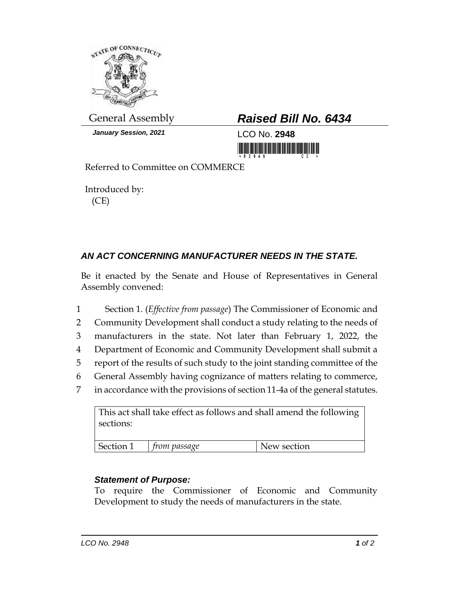

*January Session, 2021* LCO No. **2948**

## General Assembly *Raised Bill No. 6434*

Referred to Committee on COMMERCE

Introduced by: (CE)

## *AN ACT CONCERNING MANUFACTURER NEEDS IN THE STATE.*

Be it enacted by the Senate and House of Representatives in General Assembly convened:

- 1 Section 1. (*Effective from passage*) The Commissioner of Economic and 2 Community Development shall conduct a study relating to the needs of 3 manufacturers in the state. Not later than February 1, 2022, the 4 Department of Economic and Community Development shall submit a
- 5 report of the results of such study to the joint standing committee of the
- 6 General Assembly having cognizance of matters relating to commerce,
- 7 in accordance with the provisions of section 11-4a of the general statutes.

| This act shall take effect as follows and shall amend the following<br>sections: |              |             |
|----------------------------------------------------------------------------------|--------------|-------------|
| Section 1                                                                        | from passage | New section |

## *Statement of Purpose:*

To require the Commissioner of Economic and Community Development to study the needs of manufacturers in the state.